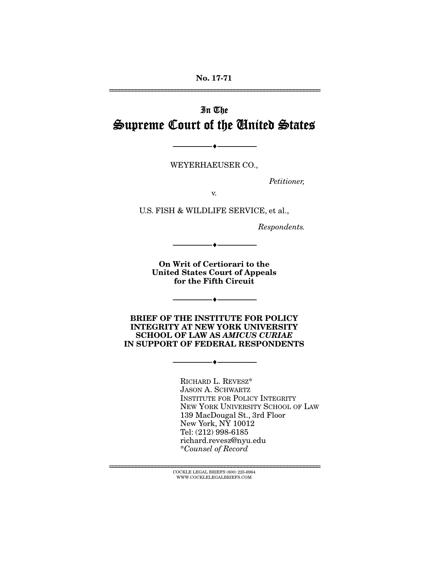# In The Supreme Court of the United States

WEYERHAEUSER CO.,

--------------------------------- ---------------------------------

*Petitioner,* 

v.

U.S. FISH & WILDLIFE SERVICE, et al.,

*Respondents.* 

On Writ of Certiorari to the United States Court of Appeals for the Fifth Circuit

--------------------------------- ---------------------------------

BRIEF OF THE INSTITUTE FOR POLICY INTEGRITY AT NEW YORK UNIVERSITY SCHOOL OF LAW AS *AMICUS CURIAE*  IN SUPPORT OF FEDERAL RESPONDENTS

--------------------------------- ---------------------------------

--------------------------------- ---------------------------------

RICHARD L. REVESZ\* JASON A. SCHWARTZ INSTITUTE FOR POLICY INTEGRITY NEW YORK UNIVERSITY SCHOOL OF LAW 139 MacDougal St., 3rd Floor New York, NY 10012 Tel: (212) 998-6185 richard.revesz@nyu.edu \**Counsel of Record*

 $\overline{C}$  COCKLE LEGAL BRIEFS (800) 225-6964  $\overline{C}$ WWW.COCKLELEGALBRIEFS.COM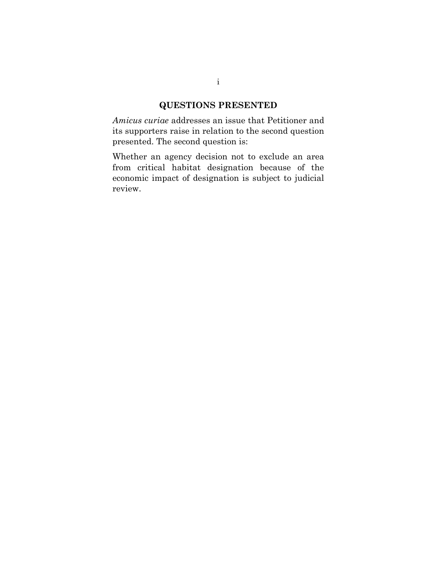## **QUESTIONS PRESENTED**

*Amicus curiae* addresses an issue that Petitioner and its supporters raise in relation to the second question presented. The second question is:

Whether an agency decision not to exclude an area from critical habitat designation because of the economic impact of designation is subject to judicial review.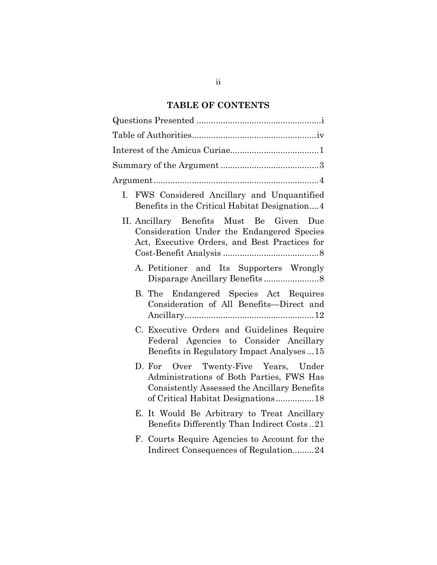# **TABLE OF CONTENTS**

| FWS Considered Ancillary and Unquantified<br>I.<br>Benefits in the Critical Habitat Designation4                                                                        |
|-------------------------------------------------------------------------------------------------------------------------------------------------------------------------|
| II. Ancillary Benefits Must Be Given<br>Due<br>Consideration Under the Endangered Species<br>Act, Executive Orders, and Best Practices for                              |
| A. Petitioner and Its Supporters Wrongly                                                                                                                                |
| B. The Endangered Species Act Requires<br>Consideration of All Benefits-Direct and                                                                                      |
| C. Executive Orders and Guidelines Require<br>Federal Agencies to Consider Ancillary<br>Benefits in Regulatory Impact Analyses15                                        |
| D. For Over Twenty-Five Years, Under<br>Administrations of Both Parties, FWS Has<br>Consistently Assessed the Ancillary Benefits<br>of Critical Habitat Designations 18 |
| E. It Would Be Arbitrary to Treat Ancillary<br>Benefits Differently Than Indirect Costs21                                                                               |
| F. Courts Require Agencies to Account for the<br>Indirect Consequences of Regulation24                                                                                  |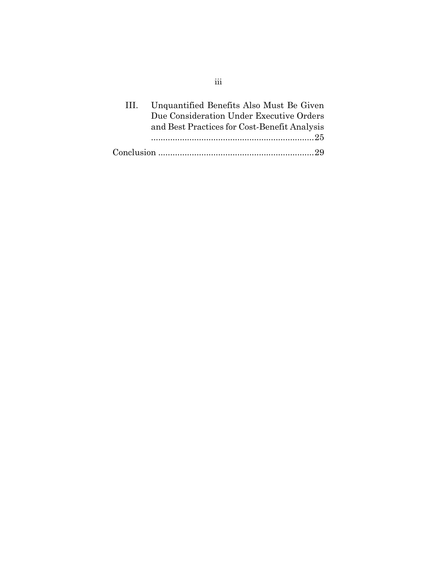| 111.7 | Unquantified Benefits Also Must Be Given     |
|-------|----------------------------------------------|
|       | Due Consideration Under Executive Orders     |
|       | and Best Practices for Cost-Benefit Analysis |
|       |                                              |
|       |                                              |

iii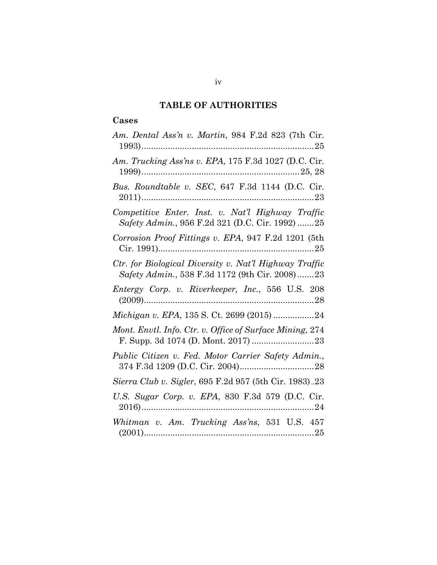# **TABLE OF AUTHORITIES**

## **Cases**

| Am. Dental Ass'n v. Martin, 984 F.2d 823 (7th Cir.                                                       |
|----------------------------------------------------------------------------------------------------------|
| Am. Trucking Ass'ns v. EPA, 175 F.3d 1027 (D.C. Cir.                                                     |
| Bus. Roundtable v. SEC, 647 F.3d 1144 (D.C. Cir.                                                         |
| Competitive Enter. Inst. v. Nat'l Highway Traffic<br>Safety Admin., 956 F.2d 321 (D.C. Cir. 1992) 25     |
| Corrosion Proof Fittings v. EPA, 947 F.2d 1201 (5th                                                      |
| Ctr. for Biological Diversity v. Nat'l Highway Traffic<br>Safety Admin., 538 F.3d 1172 (9th Cir. 2008)23 |
| Entergy Corp. v. Riverkeeper, Inc., 556 U.S. 208                                                         |
| Michigan v. EPA, 135 S. Ct. 2699 (2015) 24                                                               |
| Mont. Envtl. Info. Ctr. v. Office of Surface Mining, 274                                                 |
| Public Citizen v. Fed. Motor Carrier Safety Admin.,                                                      |
| Sierra Club v. Sigler, 695 F.2d 957 (5th Cir. 1983)23                                                    |
| U.S. Sugar Corp. v. EPA, 830 F.3d 579 (D.C. Cir.                                                         |
| Whitman v. Am. Trucking Ass'ns, 531 U.S. 457                                                             |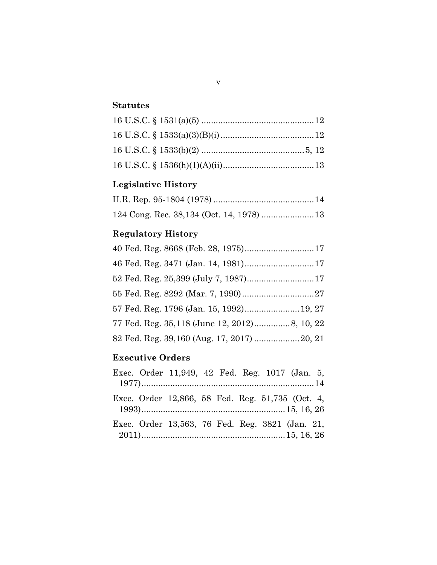## **Statutes**

# **Legislative History**

# **Regulatory History**

|  | 46 Fed. Reg. 3471 (Jan. 14, 1981) 17        |  |
|--|---------------------------------------------|--|
|  |                                             |  |
|  |                                             |  |
|  | 57 Fed. Reg. 1796 (Jan. 15, 1992) 19, 27    |  |
|  |                                             |  |
|  | 82 Fed. Reg. 39,160 (Aug. 17, 2017)  20, 21 |  |

## **Executive Orders**

|  | Exec. Order 11,949, 42 Fed. Reg. 1017 (Jan. 5,   |  |  |  |
|--|--------------------------------------------------|--|--|--|
|  |                                                  |  |  |  |
|  | Exec. Order 12,866, 58 Fed. Reg. 51,735 (Oct. 4, |  |  |  |
|  | Exec. Order 13,563, 76 Fed. Reg. 3821 (Jan. 21,  |  |  |  |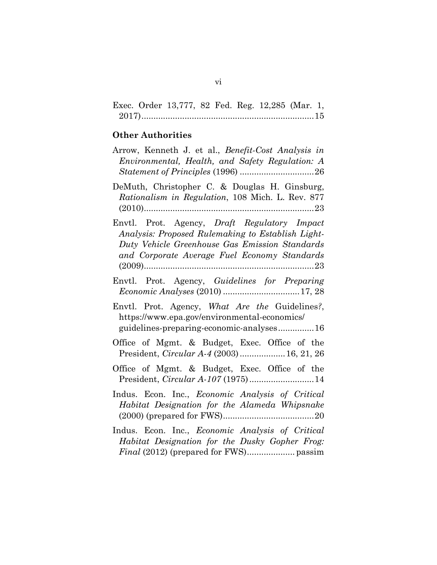|  | Exec. Order 13,777, 82 Fed. Reg. 12,285 (Mar. 1, |  |  |  |
|--|--------------------------------------------------|--|--|--|
|  |                                                  |  |  |  |

# **Other Authorities**

| Arrow, Kenneth J. et al., Benefit-Cost Analysis in<br>Environmental, Health, and Safety Regulation: A                                                                                               |
|-----------------------------------------------------------------------------------------------------------------------------------------------------------------------------------------------------|
| DeMuth, Christopher C. & Douglas H. Ginsburg,<br>Rationalism in Regulation, 108 Mich. L. Rev. 877                                                                                                   |
| Envtl. Prot. Agency, Draft Regulatory Impact<br>Analysis: Proposed Rulemaking to Establish Light-<br>Duty Vehicle Greenhouse Gas Emission Standards<br>and Corporate Average Fuel Economy Standards |
| Envtl. Prot. Agency, Guidelines for Preparing<br>Economic Analyses (2010) 17, 28                                                                                                                    |
| Envtl. Prot. Agency, What Are the Guidelines?,<br>https://www.epa.gov/environmental-economics/<br>guidelines-preparing-economic-analyses16                                                          |
| Office of Mgmt. & Budget, Exec. Office of the<br>President, <i>Circular A-4</i> (2003)  16, 21, 26                                                                                                  |
| Office of Mgmt. & Budget, Exec. Office of the<br>President, <i>Circular A-107</i> (1975)14                                                                                                          |
| Indus. Econ. Inc., Economic Analysis of Critical<br>Habitat Designation for the Alameda Whipsnake                                                                                                   |
| Indus. Econ. Inc., <i>Economic Analysis of Critical</i><br>Habitat Designation for the Dusky Gopher Frog:                                                                                           |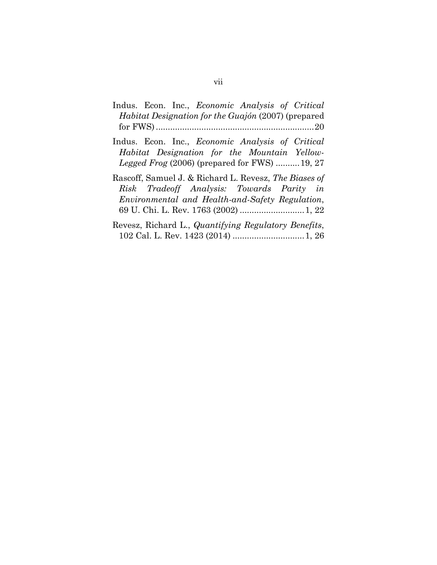- Indus. Econ. Inc., *Economic Analysis of Critical Habitat Designation for the Guajón* (2007) (prepared for FWS)..................................................................20
- Indus. Econ. Inc., *Economic Analysis of Critical Habitat Designation for the Mountain Yellow-Legged Frog* (2006) (prepared for FWS) ..........19, 27
- Rascoff, Samuel J. & Richard L. Revesz, *The Biases of Risk Tradeoff Analysis: Towards Parity in Environmental and Health-and-Safety Regulation*, 69 U. Chi. L. Rev. 1763 (2002) ........................... 1, 22
- Revesz, Richard L., *Quantifying Regulatory Benefits*, 102 Cal. L. Rev. 1423 (2014) .............................. 1, 26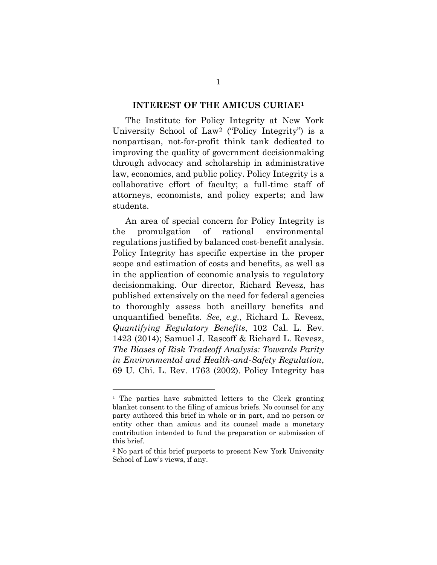#### **INTEREST OF THE AMICUS CURIAE[1](#page-8-0)**

The Institute for Policy Integrity at New York University School of Law[2](#page-8-1) ("Policy Integrity") is a nonpartisan, not-for-profit think tank dedicated to improving the quality of government decisionmaking through advocacy and scholarship in administrative law, economics, and public policy. Policy Integrity is a collaborative effort of faculty; a full-time staff of attorneys, economists, and policy experts; and law students.

An area of special concern for Policy Integrity is the promulgation of rational environmental regulations justified by balanced cost-benefit analysis. Policy Integrity has specific expertise in the proper scope and estimation of costs and benefits, as well as in the application of economic analysis to regulatory decisionmaking. Our director, Richard Revesz, has published extensively on the need for federal agencies to thoroughly assess both ancillary benefits and unquantified benefits. *See, e.g.*, Richard L. Revesz, *Quantifying Regulatory Benefits*, 102 Cal. L. Rev. 1423 (2014); Samuel J. Rascoff & Richard L. Revesz, *The Biases of Risk Tradeoff Analysis: Towards Parity in Environmental and Health-and-Safety Regulation*, 69 U. Chi. L. Rev. 1763 (2002). Policy Integrity has

<span id="page-8-0"></span><sup>1</sup> The parties have submitted letters to the Clerk granting blanket consent to the filing of amicus briefs. No counsel for any party authored this brief in whole or in part, and no person or entity other than amicus and its counsel made a monetary contribution intended to fund the preparation or submission of this brief.

<span id="page-8-1"></span><sup>2</sup> No part of this brief purports to present New York University School of Law's views, if any.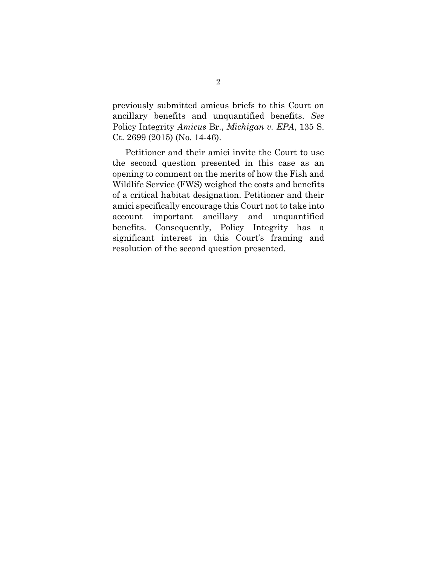previously submitted amicus briefs to this Court on ancillary benefits and unquantified benefits. *See* Policy Integrity *Amicus* Br., *Michigan v. EPA*, 135 S. Ct. 2699 (2015) (No. 14-46).

Petitioner and their amici invite the Court to use the second question presented in this case as an opening to comment on the merits of how the Fish and Wildlife Service (FWS) weighed the costs and benefits of a critical habitat designation. Petitioner and their amici specifically encourage this Court not to take into account important ancillary and unquantified benefits. Consequently, Policy Integrity has a significant interest in this Court's framing and resolution of the second question presented.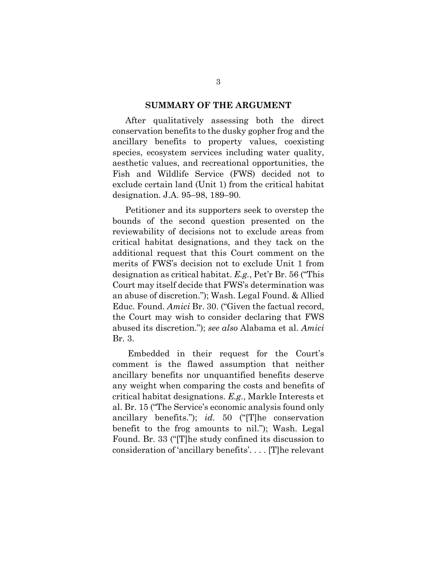#### **SUMMARY OF THE ARGUMENT**

After qualitatively assessing both the direct conservation benefits to the dusky gopher frog and the ancillary benefits to property values, coexisting species, ecosystem services including water quality, aesthetic values, and recreational opportunities, the Fish and Wildlife Service (FWS) decided not to exclude certain land (Unit 1) from the critical habitat designation. J.A. 95–98, 189–90.

Petitioner and its supporters seek to overstep the bounds of the second question presented on the reviewability of decisions not to exclude areas from critical habitat designations, and they tack on the additional request that this Court comment on the merits of FWS's decision not to exclude Unit 1 from designation as critical habitat. *E.g.*, Pet'r Br. 56 ("This Court may itself decide that FWS's determination was an abuse of discretion."); Wash. Legal Found. & Allied Educ. Found. *Amici* Br. 30. ("Given the factual record, the Court may wish to consider declaring that FWS abused its discretion."); *see also* Alabama et al. *Amici*  Br. 3.

Embedded in their request for the Court's comment is the flawed assumption that neither ancillary benefits nor unquantified benefits deserve any weight when comparing the costs and benefits of critical habitat designations. *E.g.*, Markle Interests et al. Br. 15 ("The Service's economic analysis found only ancillary benefits."); *id.* 50 ("[T]he conservation benefit to the frog amounts to nil."); Wash. Legal Found. Br. 33 ("[T]he study confined its discussion to consideration of 'ancillary benefits'. . . . [T]he relevant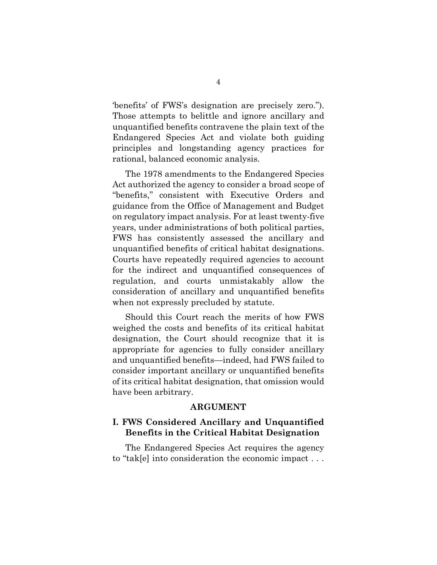'benefits' of FWS's designation are precisely zero."). Those attempts to belittle and ignore ancillary and unquantified benefits contravene the plain text of the Endangered Species Act and violate both guiding principles and longstanding agency practices for rational, balanced economic analysis.

The 1978 amendments to the Endangered Species Act authorized the agency to consider a broad scope of "benefits," consistent with Executive Orders and guidance from the Office of Management and Budget on regulatory impact analysis. For at least twenty-five years, under administrations of both political parties, FWS has consistently assessed the ancillary and unquantified benefits of critical habitat designations. Courts have repeatedly required agencies to account for the indirect and unquantified consequences of regulation, and courts unmistakably allow the consideration of ancillary and unquantified benefits when not expressly precluded by statute.

Should this Court reach the merits of how FWS weighed the costs and benefits of its critical habitat designation, the Court should recognize that it is appropriate for agencies to fully consider ancillary and unquantified benefits—indeed, had FWS failed to consider important ancillary or unquantified benefits of its critical habitat designation, that omission would have been arbitrary.

#### **ARGUMENT**

## **I. FWS Considered Ancillary and Unquantified Benefits in the Critical Habitat Designation**

The Endangered Species Act requires the agency to "tak[e] into consideration the economic impact . . .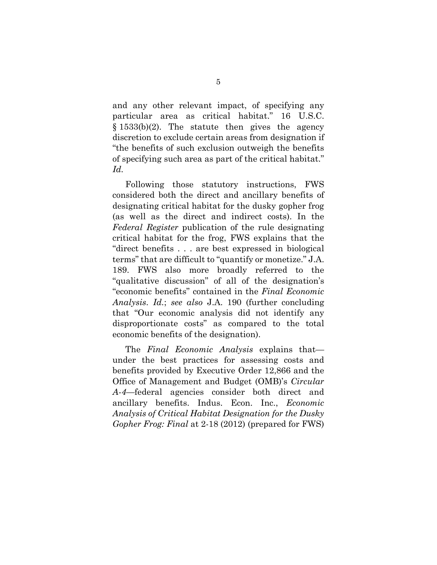and any other relevant impact, of specifying any particular area as critical habitat." 16 U.S.C.  $§ 1533(b)(2)$ . The statute then gives the agency discretion to exclude certain areas from designation if "the benefits of such exclusion outweigh the benefits of specifying such area as part of the critical habitat." *Id.*

Following those statutory instructions, FWS considered both the direct and ancillary benefits of designating critical habitat for the dusky gopher frog (as well as the direct and indirect costs). In the *Federal Register* publication of the rule designating critical habitat for the frog, FWS explains that the "direct benefits . . . are best expressed in biological terms" that are difficult to "quantify or monetize." J.A. 189. FWS also more broadly referred to the "qualitative discussion" of all of the designation's "economic benefits" contained in the *Final Economic Analysis*. *Id.*; *see also* J.A. 190 (further concluding that "Our economic analysis did not identify any disproportionate costs" as compared to the total economic benefits of the designation).

The *Final Economic Analysis* explains that under the best practices for assessing costs and benefits provided by Executive Order 12,866 and the Office of Management and Budget (OMB)'s *Circular A-4*—federal agencies consider both direct and ancillary benefits. Indus. Econ. Inc., *Economic Analysis of Critical Habitat Designation for the Dusky Gopher Frog: Final* at 2-18 (2012) (prepared for FWS)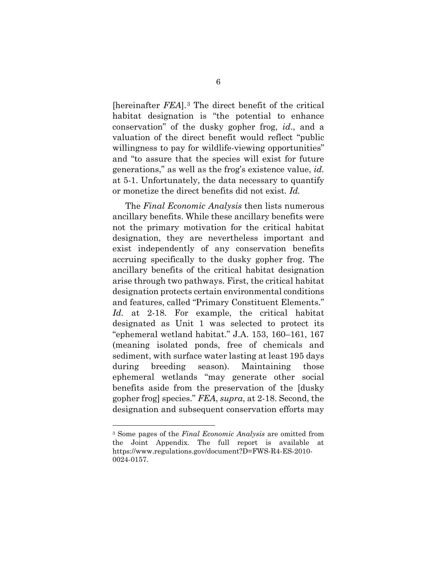[hereinafter *FEA*].[3](#page-13-0) The direct benefit of the critical habitat designation is "the potential to enhance conservation" of the dusky gopher frog, *id*., and a valuation of the direct benefit would reflect "public willingness to pay for wildlife-viewing opportunities" and "to assure that the species will exist for future generations," as well as the frog's existence value, *id.* at 5-1. Unfortunately, the data necessary to quantify or monetize the direct benefits did not exist. *Id.*

The *Final Economic Analysis* then lists numerous ancillary benefits. While these ancillary benefits were not the primary motivation for the critical habitat designation, they are nevertheless important and exist independently of any conservation benefits accruing specifically to the dusky gopher frog. The ancillary benefits of the critical habitat designation arise through two pathways. First, the critical habitat designation protects certain environmental conditions and features, called "Primary Constituent Elements." *Id.* at 2-18. For example, the critical habitat designated as Unit 1 was selected to protect its "ephemeral wetland habitat." J.A. 153, 160–161, 167 (meaning isolated ponds, free of chemicals and sediment, with surface water lasting at least 195 days during breeding season). Maintaining those ephemeral wetlands "may generate other social benefits aside from the preservation of the [dusky gopher frog] species." *FEA*, *supra*, at 2-18. Second, the designation and subsequent conservation efforts may

<span id="page-13-0"></span><sup>3</sup> Some pages of the *Final Economic Analysis* are omitted from the Joint Appendix. The full report is available at https://www.regulations.gov/document?D=FWS-R4-ES-2010- 0024-0157.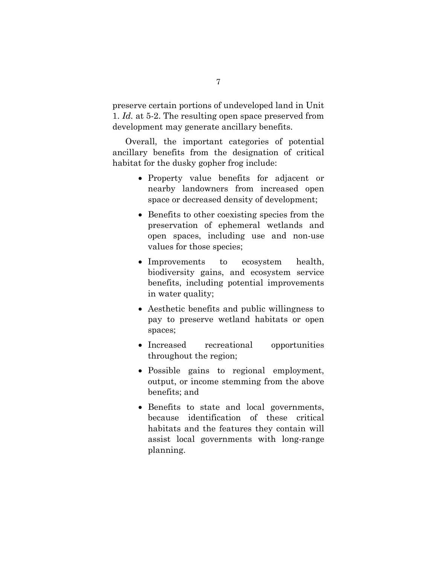preserve certain portions of undeveloped land in Unit 1. *Id.* at 5-2. The resulting open space preserved from development may generate ancillary benefits.

Overall, the important categories of potential ancillary benefits from the designation of critical habitat for the dusky gopher frog include:

- Property value benefits for adjacent or nearby landowners from increased open space or decreased density of development;
- Benefits to other coexisting species from the preservation of ephemeral wetlands and open spaces, including use and non-use values for those species;
- Improvements to ecosystem health, biodiversity gains, and ecosystem service benefits, including potential improvements in water quality;
- Aesthetic benefits and public willingness to pay to preserve wetland habitats or open spaces;
- Increased recreational opportunities throughout the region;
- Possible gains to regional employment, output, or income stemming from the above benefits; and
- Benefits to state and local governments, because identification of these critical habitats and the features they contain will assist local governments with long-range planning.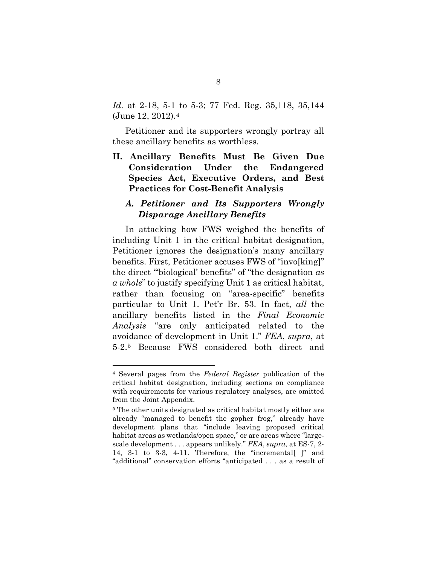*Id.* at 2-18, 5-1 to 5-3; 77 Fed. Reg. 35,118, 35,144 (June 12, 2012).[4](#page-15-0)

Petitioner and its supporters wrongly portray all these ancillary benefits as worthless.

**II. Ancillary Benefits Must Be Given Due Consideration Under the Endangered Species Act, Executive Orders, and Best Practices for Cost-Benefit Analysis**

## *A. Petitioner and Its Supporters Wrongly Disparage Ancillary Benefits*

In attacking how FWS weighed the benefits of including Unit 1 in the critical habitat designation, Petitioner ignores the designation's many ancillary benefits. First, Petitioner accuses FWS of "invo[king]" the direct "'biological' benefits" of "the designation *as a whole*" to justify specifying Unit 1 as critical habitat, rather than focusing on "area-specific" benefits particular to Unit 1. Pet'r Br. 53. In fact, *all* the ancillary benefits listed in the *Final Economic Analysis* "are only anticipated related to the avoidance of development in Unit 1." *FEA*, *supra*, at 5-2.[5](#page-15-1) Because FWS considered both direct and

<span id="page-15-0"></span><sup>4</sup> Several pages from the *Federal Register* publication of the critical habitat designation, including sections on compliance with requirements for various regulatory analyses, are omitted from the Joint Appendix.

<span id="page-15-1"></span><sup>5</sup> The other units designated as critical habitat mostly either are already "managed to benefit the gopher frog," already have development plans that "include leaving proposed critical habitat areas as wetlands/open space," or are areas where "largescale development . . . appears unlikely." *FEA*, *supra*, at ES-7, 2- 14, 3-1 to 3-3, 4-11. Therefore, the "incremental[ ]" and "additional" conservation efforts "anticipated . . . as a result of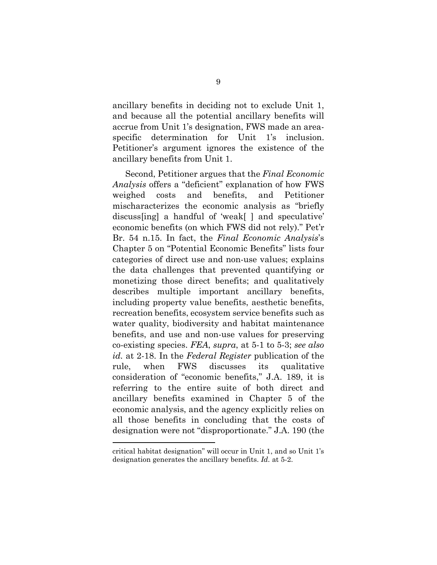ancillary benefits in deciding not to exclude Unit 1, and because all the potential ancillary benefits will accrue from Unit 1's designation, FWS made an areaspecific determination for Unit 1's inclusion. Petitioner's argument ignores the existence of the ancillary benefits from Unit 1.

Second, Petitioner argues that the *Final Economic Analysis* offers a "deficient" explanation of how FWS weighed costs and benefits, and Petitioner mischaracterizes the economic analysis as "briefly discuss[ing] a handful of 'weak[ ] and speculative' economic benefits (on which FWS did not rely)." Pet'r Br. 54 n.15. In fact, the *Final Economic Analysis*'s Chapter 5 on "Potential Economic Benefits" lists four categories of direct use and non-use values; explains the data challenges that prevented quantifying or monetizing those direct benefits; and qualitatively describes multiple important ancillary benefits, including property value benefits, aesthetic benefits, recreation benefits, ecosystem service benefits such as water quality, biodiversity and habitat maintenance benefits, and use and non-use values for preserving co-existing species. *FEA*, *supra*, at 5-1 to 5-3; *see also id.* at 2-18. In the *Federal Register* publication of the rule, when FWS discusses its qualitative consideration of "economic benefits," J.A. 189, it is referring to the entire suite of both direct and ancillary benefits examined in Chapter 5 of the economic analysis, and the agency explicitly relies on all those benefits in concluding that the costs of designation were not "disproportionate." J.A. 190 (the

critical habitat designation" will occur in Unit 1, and so Unit 1's designation generates the ancillary benefits. *Id.* at 5-2.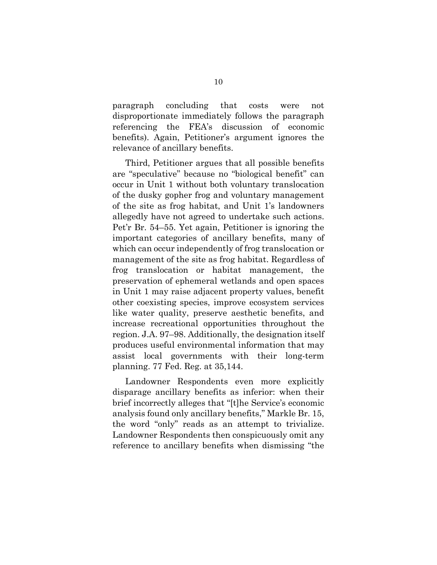paragraph concluding that costs were not disproportionate immediately follows the paragraph referencing the FEA's discussion of economic benefits). Again, Petitioner's argument ignores the relevance of ancillary benefits.

Third, Petitioner argues that all possible benefits are "speculative" because no "biological benefit" can occur in Unit 1 without both voluntary translocation of the dusky gopher frog and voluntary management of the site as frog habitat, and Unit 1's landowners allegedly have not agreed to undertake such actions. Pet'r Br. 54–55. Yet again, Petitioner is ignoring the important categories of ancillary benefits, many of which can occur independently of frog translocation or management of the site as frog habitat. Regardless of frog translocation or habitat management, the preservation of ephemeral wetlands and open spaces in Unit 1 may raise adjacent property values, benefit other coexisting species, improve ecosystem services like water quality, preserve aesthetic benefits, and increase recreational opportunities throughout the region. J.A. 97–98. Additionally, the designation itself produces useful environmental information that may assist local governments with their long-term planning. 77 Fed. Reg. at 35,144.

Landowner Respondents even more explicitly disparage ancillary benefits as inferior: when their brief incorrectly alleges that "[t]he Service's economic analysis found only ancillary benefits," Markle Br. 15, the word "only" reads as an attempt to trivialize. Landowner Respondents then conspicuously omit any reference to ancillary benefits when dismissing "the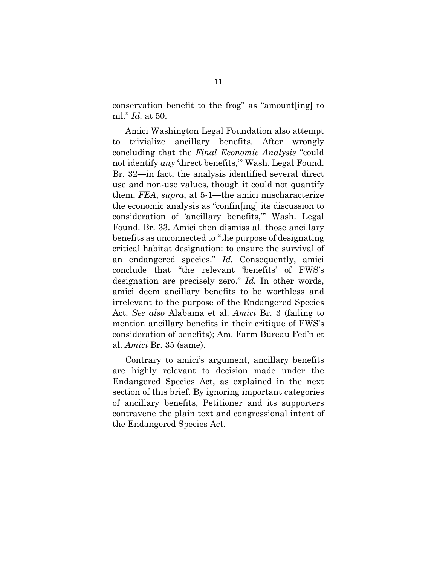conservation benefit to the frog" as "amount[ing] to nil." *Id.* at 50.

Amici Washington Legal Foundation also attempt to trivialize ancillary benefits. After wrongly concluding that the *Final Economic Analysis* "could not identify *any* 'direct benefits,'" Wash. Legal Found. Br. 32—in fact, the analysis identified several direct use and non-use values, though it could not quantify them, *FEA*, *supra*, at 5-1—the amici mischaracterize the economic analysis as "confin[ing] its discussion to consideration of 'ancillary benefits,'" Wash. Legal Found. Br. 33. Amici then dismiss all those ancillary benefits as unconnected to "the purpose of designating critical habitat designation: to ensure the survival of an endangered species." *Id.* Consequently, amici conclude that "the relevant 'benefits' of FWS's designation are precisely zero." *Id.* In other words, amici deem ancillary benefits to be worthless and irrelevant to the purpose of the Endangered Species Act. *See also* Alabama et al. *Amici* Br. 3 (failing to mention ancillary benefits in their critique of FWS's consideration of benefits); Am. Farm Bureau Fed'n et al. *Amici* Br. 35 (same).

Contrary to amici's argument, ancillary benefits are highly relevant to decision made under the Endangered Species Act, as explained in the next section of this brief. By ignoring important categories of ancillary benefits, Petitioner and its supporters contravene the plain text and congressional intent of the Endangered Species Act.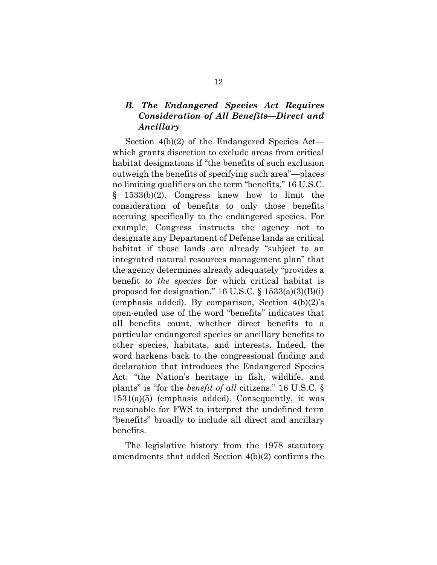## *B. The Endangered Species Act Requires Consideration of All Benefits—Direct and Ancillary*

Section 4(b)(2) of the Endangered Species Act which grants discretion to exclude areas from critical habitat designations if "the benefits of such exclusion outweigh the benefits of specifying such area"—places no limiting qualifiers on the term "benefits." 16 U.S.C. § 1533(b)(2). Congress knew how to limit the consideration of benefits to only those benefits accruing specifically to the endangered species. For example, Congress instructs the agency not to designate any Department of Defense lands as critical habitat if those lands are already "subject to an integrated natural resources management plan" that the agency determines already adequately "provides a benefit *to the species* for which critical habitat is proposed for designation." 16 U.S.C.  $\S$  1533(a)(3)(B)(i) (emphasis added). By comparison, Section 4(b)(2)'s open-ended use of the word "benefits" indicates that all benefits count, whether direct benefits to a particular endangered species or ancillary benefits to other species, habitats, and interests. Indeed, the word harkens back to the congressional finding and declaration that introduces the Endangered Species Act: "the Nation's heritage in fish, wildlife, and plants" is "for the *benefit of all* citizens." 16 U.S.C. § 1531(a)(5) (emphasis added). Consequently, it was reasonable for FWS to interpret the undefined term "benefits" broadly to include all direct and ancillary benefits.

The legislative history from the 1978 statutory amendments that added Section 4(b)(2) confirms the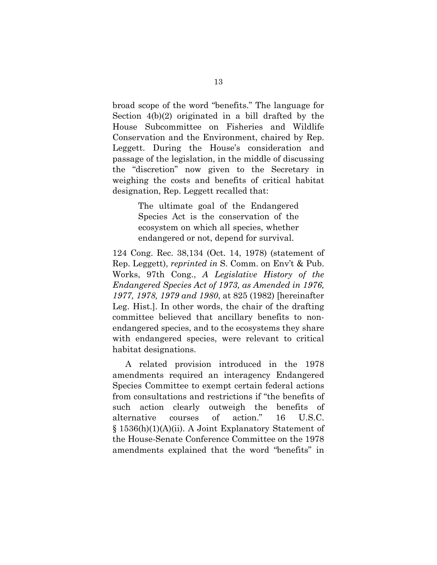broad scope of the word "benefits." The language for Section 4(b)(2) originated in a bill drafted by the House Subcommittee on Fisheries and Wildlife Conservation and the Environment, chaired by Rep. Leggett. During the House's consideration and passage of the legislation, in the middle of discussing the "discretion" now given to the Secretary in weighing the costs and benefits of critical habitat designation, Rep. Leggett recalled that:

> The ultimate goal of the Endangered Species Act is the conservation of the ecosystem on which all species, whether endangered or not, depend for survival.

124 Cong. Rec. 38,134 (Oct. 14, 1978) (statement of Rep. Leggett), *reprinted in* S. Comm. on Env't & Pub. Works, 97th Cong., *A Legislative History of the Endangered Species Act of 1973, as Amended in 1976, 1977, 1978, 1979 and 1980*, at 825 (1982) [hereinafter Leg. Hist.]. In other words, the chair of the drafting committee believed that ancillary benefits to nonendangered species, and to the ecosystems they share with endangered species, were relevant to critical habitat designations.

A related provision introduced in the 1978 amendments required an interagency Endangered Species Committee to exempt certain federal actions from consultations and restrictions if "the benefits of such action clearly outweigh the benefits of alternative courses of action." 16 U.S.C. § 1536(h)(1)(A)(ii). A Joint Explanatory Statement of the House-Senate Conference Committee on the 1978 amendments explained that the word "benefits" in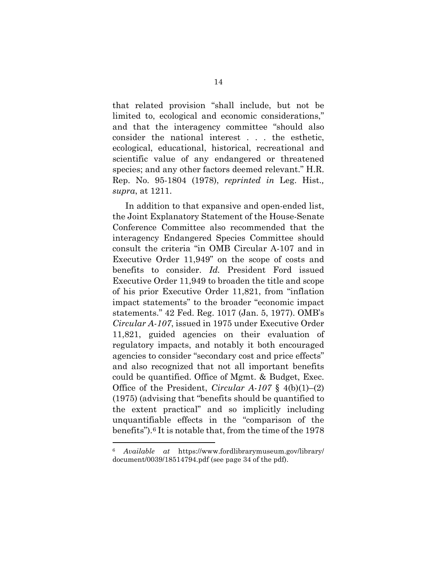that related provision "shall include, but not be limited to, ecological and economic considerations," and that the interagency committee "should also consider the national interest . . . the esthetic, ecological, educational, historical, recreational and scientific value of any endangered or threatened species; and any other factors deemed relevant." H.R. Rep. No. 95-1804 (1978), *reprinted in* Leg. Hist.*, supra*, at 1211.

In addition to that expansive and open-ended list, the Joint Explanatory Statement of the House-Senate Conference Committee also recommended that the interagency Endangered Species Committee should consult the criteria "in OMB Circular A-107 and in Executive Order 11,949" on the scope of costs and benefits to consider. *Id.* President Ford issued Executive Order 11,949 to broaden the title and scope of his prior Executive Order 11,821, from "inflation impact statements" to the broader "economic impact statements." 42 Fed. Reg. 1017 (Jan. 5, 1977). OMB's *Circular A-107*, issued in 1975 under Executive Order 11,821, guided agencies on their evaluation of regulatory impacts, and notably it both encouraged agencies to consider "secondary cost and price effects" and also recognized that not all important benefits could be quantified. Office of Mgmt. & Budget, Exec. Office of the President, *Circular A-107* § 4(b)(1)–(2) (1975) (advising that "benefits should be quantified to the extent practical" and so implicitly including unquantifiable effects in the "comparison of the benefits").[6](#page-21-0) It is notable that, from the time of the 1978

<span id="page-21-0"></span><sup>6</sup> *Available at* https://www.fordlibrarymuseum.gov/library/ document/0039/18514794.pdf (see page 34 of the pdf).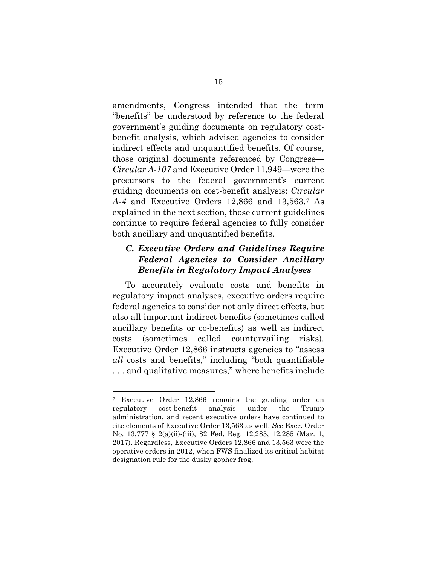amendments, Congress intended that the term "benefits" be understood by reference to the federal government's guiding documents on regulatory costbenefit analysis, which advised agencies to consider indirect effects and unquantified benefits. Of course, those original documents referenced by Congress— *Circular A-107* and Executive Order 11,949—were the precursors to the federal government's current guiding documents on cost-benefit analysis: *Circular A-4* and Executive Orders 12,866 and 13,563.[7](#page-22-0) As explained in the next section, those current guidelines continue to require federal agencies to fully consider both ancillary and unquantified benefits.

## *C. Executive Orders and Guidelines Require Federal Agencies to Consider Ancillary Benefits in Regulatory Impact Analyses*

To accurately evaluate costs and benefits in regulatory impact analyses, executive orders require federal agencies to consider not only direct effects, but also all important indirect benefits (sometimes called ancillary benefits or co-benefits) as well as indirect costs (sometimes called countervailing risks). Executive Order 12,866 instructs agencies to "assess *all* costs and benefits," including "both quantifiable . . . and qualitative measures," where benefits include

<span id="page-22-0"></span><sup>7</sup> Executive Order 12,866 remains the guiding order on regulatory cost-benefit analysis under the Trump administration, and recent executive orders have continued to cite elements of Executive Order 13,563 as well. *See* Exec. Order No. 13,777 § 2(a)(ii)-(iii), 82 Fed. Reg. 12,285, 12,285 (Mar. 1, 2017). Regardless, Executive Orders 12,866 and 13,563 were the operative orders in 2012, when FWS finalized its critical habitat designation rule for the dusky gopher frog.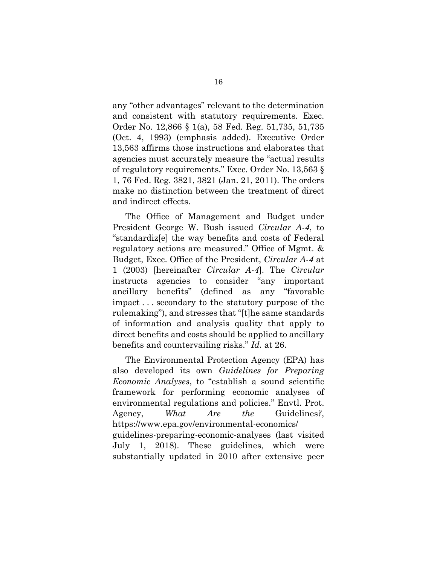any "other advantages" relevant to the determination and consistent with statutory requirements. Exec. Order No. 12,866 § 1(a), 58 Fed. Reg. 51,735, 51,735 (Oct. 4, 1993) (emphasis added). Executive Order 13,563 affirms those instructions and elaborates that agencies must accurately measure the "actual results of regulatory requirements." Exec. Order No. 13,563 § 1, 76 Fed. Reg. 3821, 3821 (Jan. 21, 2011). The orders make no distinction between the treatment of direct and indirect effects.

The Office of Management and Budget under President George W. Bush issued *Circular A-4*, to "standardiz[e] the way benefits and costs of Federal regulatory actions are measured." Office of Mgmt. & Budget, Exec. Office of the President, *Circular A-4* at 1 (2003) [hereinafter *Circular A-4*]. The *Circular* instructs agencies to consider "any important ancillary benefits" (defined as any "favorable impact . . . secondary to the statutory purpose of the rulemaking"), and stresses that "[t]he same standards of information and analysis quality that apply to direct benefits and costs should be applied to ancillary benefits and countervailing risks." *Id.* at 26.

The Environmental Protection Agency (EPA) has also developed its own *Guidelines for Preparing Economic Analyses*, to "establish a sound scientific framework for performing economic analyses of environmental regulations and policies." Envtl. Prot. Agency, *What Are the* Guidelines*?*, https://www.epa.gov/environmental-economics/ guidelines-preparing-economic-analyses (last visited July 1, 2018). These guidelines, which were substantially updated in 2010 after extensive peer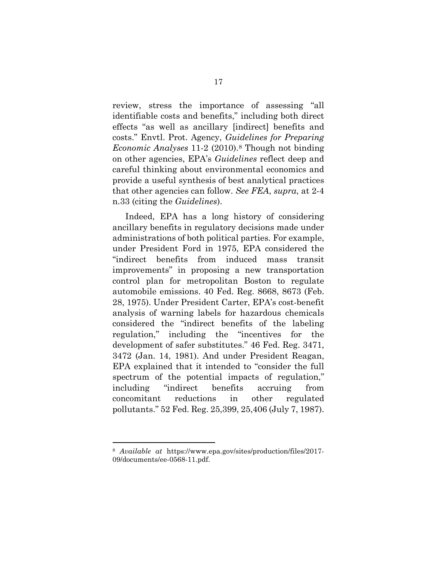review, stress the importance of assessing "all identifiable costs and benefits," including both direct effects "as well as ancillary [indirect] benefits and costs." Envtl. Prot. Agency, *Guidelines for Preparing Economic Analyses* 11-2 (2010).[8](#page-24-0) Though not binding on other agencies, EPA's *Guidelines* reflect deep and careful thinking about environmental economics and provide a useful synthesis of best analytical practices that other agencies can follow. *See FEA*, *supra*, at 2-4 n.33 (citing the *Guidelines*).

Indeed, EPA has a long history of considering ancillary benefits in regulatory decisions made under administrations of both political parties. For example, under President Ford in 1975, EPA considered the "indirect benefits from induced mass transit improvements" in proposing a new transportation control plan for metropolitan Boston to regulate automobile emissions. 40 Fed. Reg. 8668, 8673 (Feb. 28, 1975). Under President Carter, EPA's cost-benefit analysis of warning labels for hazardous chemicals considered the "indirect benefits of the labeling regulation," including the "incentives for the development of safer substitutes." 46 Fed. Reg. 3471, 3472 (Jan. 14, 1981). And under President Reagan, EPA explained that it intended to "consider the full spectrum of the potential impacts of regulation," including "indirect benefits accruing from concomitant reductions in other regulated pollutants." 52 Fed. Reg. 25,399, 25,406 (July 7, 1987).

<span id="page-24-0"></span><sup>8</sup> *Available at* https://www.epa.gov/sites/production/files/2017- 09/documents/ee-0568-11.pdf.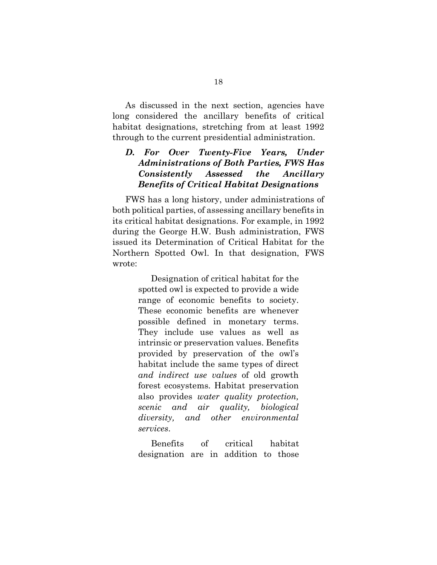As discussed in the next section, agencies have long considered the ancillary benefits of critical habitat designations, stretching from at least 1992 through to the current presidential administration.

## *D. For Over Twenty-Five Years, Under Administrations of Both Parties, FWS Has Consistently Assessed the Ancillary Benefits of Critical Habitat Designations*

FWS has a long history, under administrations of both political parties, of assessing ancillary benefits in its critical habitat designations. For example, in 1992 during the George H.W. Bush administration, FWS issued its Determination of Critical Habitat for the Northern Spotted Owl. In that designation, FWS wrote:

> Designation of critical habitat for the spotted owl is expected to provide a wide range of economic benefits to society. These economic benefits are whenever possible defined in monetary terms. They include use values as well as intrinsic or preservation values. Benefits provided by preservation of the owl's habitat include the same types of direct *and indirect use values* of old growth forest ecosystems. Habitat preservation also provides *water quality protection, scenic and air quality, biological diversity, and other environmental services*.

> Benefits of critical habitat designation are in addition to those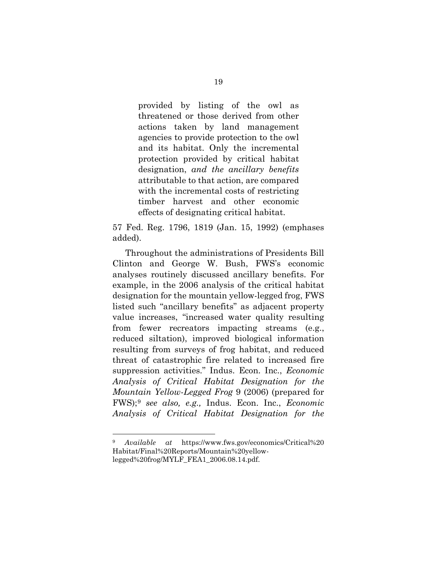provided by listing of the owl as threatened or those derived from other actions taken by land management agencies to provide protection to the owl and its habitat. Only the incremental protection provided by critical habitat designation, *and the ancillary benefits* attributable to that action, are compared with the incremental costs of restricting timber harvest and other economic effects of designating critical habitat.

57 Fed. Reg. 1796, 1819 (Jan. 15, 1992) (emphases added).

Throughout the administrations of Presidents Bill Clinton and George W. Bush, FWS's economic analyses routinely discussed ancillary benefits. For example, in the 2006 analysis of the critical habitat designation for the mountain yellow-legged frog, FWS listed such "ancillary benefits" as adjacent property value increases, "increased water quality resulting from fewer recreators impacting streams (e.g., reduced siltation), improved biological information resulting from surveys of frog habitat, and reduced threat of catastrophic fire related to increased fire suppression activities." Indus. Econ. Inc., *Economic Analysis of Critical Habitat Designation for the Mountain Yellow-Legged Frog* 9 (2006) (prepared for FWS);[9](#page-26-0) *see also, e.g.,* Indus. Econ. Inc., *Economic Analysis of Critical Habitat Designation for the* 

<span id="page-26-0"></span><sup>9</sup> *Available at* https://www.fws.gov/economics/Critical%20 Habitat/Final%20Reports/Mountain%20yellowlegged%20frog/MYLF\_FEA1\_2006.08.14.pdf.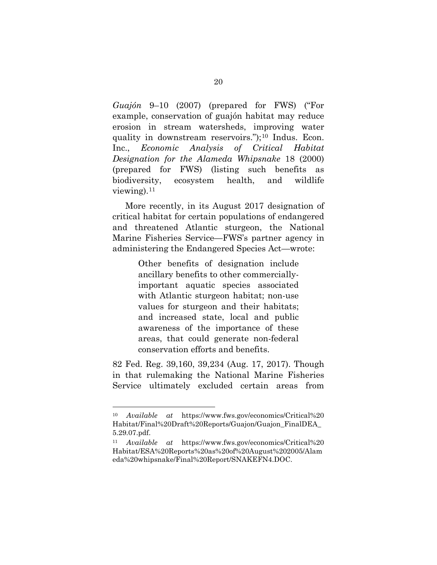*Guajón* 9–10 (2007) (prepared for FWS) ("For example, conservation of guajón habitat may reduce erosion in stream watersheds, improving water quality in downstream reservoirs.");<sup>[10](#page-27-0)</sup> Indus. Econ. Inc., *Economic Analysis of Critical Habitat Designation for the Alameda Whipsnake* 18 (2000) (prepared for FWS) (listing such benefits as biodiversity, ecosystem health, and wildlife viewing). $11$ 

More recently, in its August 2017 designation of critical habitat for certain populations of endangered and threatened Atlantic sturgeon, the National Marine Fisheries Service—FWS's partner agency in administering the Endangered Species Act—wrote:

> Other benefits of designation include ancillary benefits to other commerciallyimportant aquatic species associated with Atlantic sturgeon habitat; non-use values for sturgeon and their habitats; and increased state, local and public awareness of the importance of these areas, that could generate non-federal conservation efforts and benefits.

82 Fed. Reg. 39,160, 39,234 (Aug. 17, 2017). Though in that rulemaking the National Marine Fisheries Service ultimately excluded certain areas from

<span id="page-27-0"></span><sup>10</sup> *Available at* https://www.fws.gov/economics/Critical%20 Habitat/Final%20Draft%20Reports/Guajon/Guajon\_FinalDEA\_ 5.29.07.pdf.

<span id="page-27-1"></span><sup>11</sup> *Available at* https://www.fws.gov/economics/Critical%20 Habitat/ESA%20Reports%20as%20of%20August%202005/Alam eda%20whipsnake/Final%20Report/SNAKEFN4.DOC.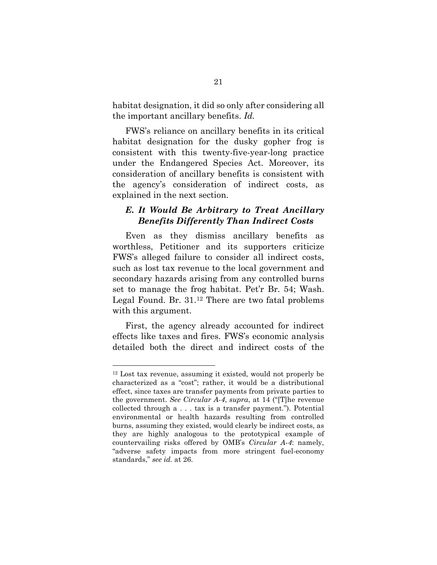habitat designation, it did so only after considering all the important ancillary benefits. *Id.*

FWS's reliance on ancillary benefits in its critical habitat designation for the dusky gopher frog is consistent with this twenty-five-year-long practice under the Endangered Species Act. Moreover, its consideration of ancillary benefits is consistent with the agency's consideration of indirect costs, as explained in the next section.

## *E. It Would Be Arbitrary to Treat Ancillary Benefits Differently Than Indirect Costs*

Even as they dismiss ancillary benefits as worthless, Petitioner and its supporters criticize FWS's alleged failure to consider all indirect costs, such as lost tax revenue to the local government and secondary hazards arising from any controlled burns set to manage the frog habitat. Pet'r Br. 54; Wash. Legal Found. Br. 31.[12](#page-28-0) There are two fatal problems with this argument.

First, the agency already accounted for indirect effects like taxes and fires. FWS's economic analysis detailed both the direct and indirect costs of the

<span id="page-28-0"></span><sup>12</sup> Lost tax revenue, assuming it existed, would not properly be characterized as a "cost"; rather, it would be a distributional effect, since taxes are transfer payments from private parties to the government. *See Circular A-4*, *supra*, at 14 ("[T]he revenue collected through a . . . tax is a transfer payment."). Potential environmental or health hazards resulting from controlled burns, assuming they existed, would clearly be indirect costs, as they are highly analogous to the prototypical example of countervailing risks offered by OMB's *Circular A-4*: namely, "adverse safety impacts from more stringent fuel-economy standards," *see id.* at 26.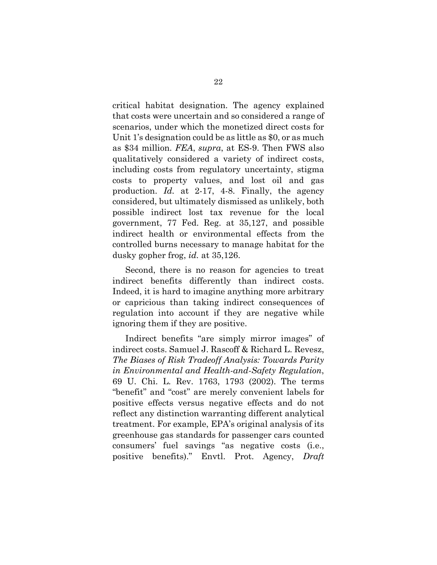critical habitat designation. The agency explained that costs were uncertain and so considered a range of scenarios, under which the monetized direct costs for Unit 1's designation could be as little as \$0, or as much as \$34 million. *FEA*, *supra*, at ES-9. Then FWS also qualitatively considered a variety of indirect costs, including costs from regulatory uncertainty, stigma costs to property values, and lost oil and gas production. *Id.* at 2-17, 4-8. Finally, the agency considered, but ultimately dismissed as unlikely, both possible indirect lost tax revenue for the local government, 77 Fed. Reg. at 35,127, and possible indirect health or environmental effects from the controlled burns necessary to manage habitat for the dusky gopher frog, *id.* at 35,126.

Second, there is no reason for agencies to treat indirect benefits differently than indirect costs. Indeed, it is hard to imagine anything more arbitrary or capricious than taking indirect consequences of regulation into account if they are negative while ignoring them if they are positive.

Indirect benefits "are simply mirror images" of indirect costs. Samuel J. Rascoff & Richard L. Revesz, *The Biases of Risk Tradeoff Analysis: Towards Parity in Environmental and Health-and-Safety Regulation*, 69 U. Chi. L. Rev. 1763, 1793 (2002). The terms "benefit" and "cost" are merely convenient labels for positive effects versus negative effects and do not reflect any distinction warranting different analytical treatment. For example, EPA's original analysis of its greenhouse gas standards for passenger cars counted consumers' fuel savings "as negative costs (i.e., positive benefits)." Envtl. Prot. Agency, *Draft*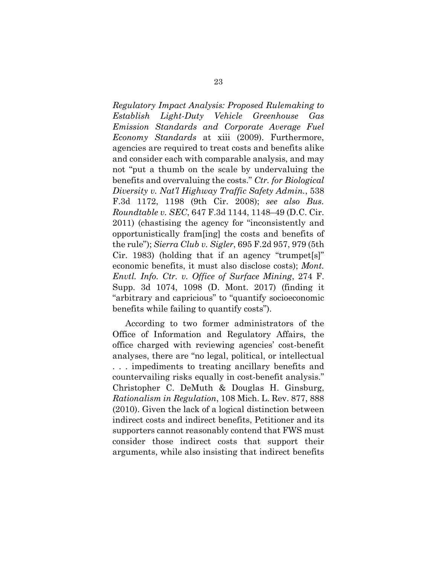*Regulatory Impact Analysis: Proposed Rulemaking to Establish Light-Duty Vehicle Greenhouse Gas Emission Standards and Corporate Average Fuel Economy Standards* at xiii (2009). Furthermore, agencies are required to treat costs and benefits alike and consider each with comparable analysis, and may not "put a thumb on the scale by undervaluing the benefits and overvaluing the costs." *Ctr. for Biological Diversity v. Nat'l Highway Traffic Safety Admin.*, 538 F.3d 1172, 1198 (9th Cir. 2008); *see also Bus. Roundtable v. SEC*, 647 F.3d 1144, 1148–49 (D.C. Cir. 2011) (chastising the agency for "inconsistently and opportunistically fram[ing] the costs and benefits of the rule"); *Sierra Club v. Sigler*, 695 F.2d 957, 979 (5th Cir. 1983) (holding that if an agency "trumpet[s]" economic benefits, it must also disclose costs); *Mont. Envtl. Info. Ctr. v. Office of Surface Mining*, 274 F. Supp. 3d 1074, 1098 (D. Mont. 2017) (finding it "arbitrary and capricious" to "quantify socioeconomic benefits while failing to quantify costs").

According to two former administrators of the Office of Information and Regulatory Affairs, the office charged with reviewing agencies' cost-benefit analyses, there are "no legal, political, or intellectual . . . impediments to treating ancillary benefits and countervailing risks equally in cost-benefit analysis." Christopher C. DeMuth & Douglas H. Ginsburg, *Rationalism in Regulation*, 108 Mich. L. Rev. 877, 888 (2010). Given the lack of a logical distinction between indirect costs and indirect benefits, Petitioner and its supporters cannot reasonably contend that FWS must consider those indirect costs that support their arguments, while also insisting that indirect benefits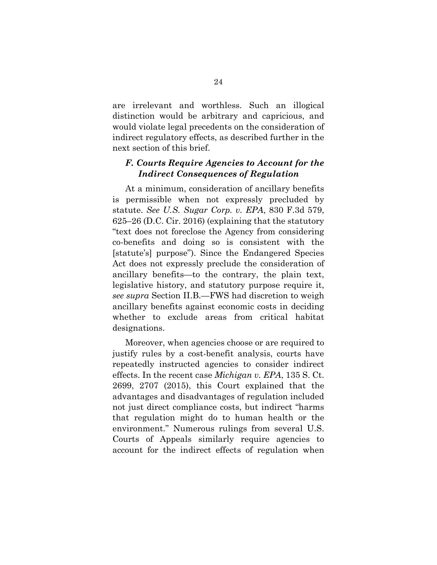are irrelevant and worthless. Such an illogical distinction would be arbitrary and capricious, and would violate legal precedents on the consideration of indirect regulatory effects, as described further in the next section of this brief.

## *F. Courts Require Agencies to Account for the Indirect Consequences of Regulation*

At a minimum, consideration of ancillary benefits is permissible when not expressly precluded by statute. *See U.S. Sugar Corp. v. EPA*, 830 F.3d 579, 625–26 (D.C. Cir. 2016) (explaining that the statutory "text does not foreclose the Agency from considering co-benefits and doing so is consistent with the [statute's] purpose"). Since the Endangered Species Act does not expressly preclude the consideration of ancillary benefits—to the contrary, the plain text, legislative history, and statutory purpose require it, *see supra* Section II.B.—FWS had discretion to weigh ancillary benefits against economic costs in deciding whether to exclude areas from critical habitat designations.

Moreover, when agencies choose or are required to justify rules by a cost-benefit analysis, courts have repeatedly instructed agencies to consider indirect effects. In the recent case *Michigan v. EPA*, 135 S. Ct. 2699, 2707 (2015), this Court explained that the advantages and disadvantages of regulation included not just direct compliance costs, but indirect "harms that regulation might do to human health or the environment." Numerous rulings from several U.S. Courts of Appeals similarly require agencies to account for the indirect effects of regulation when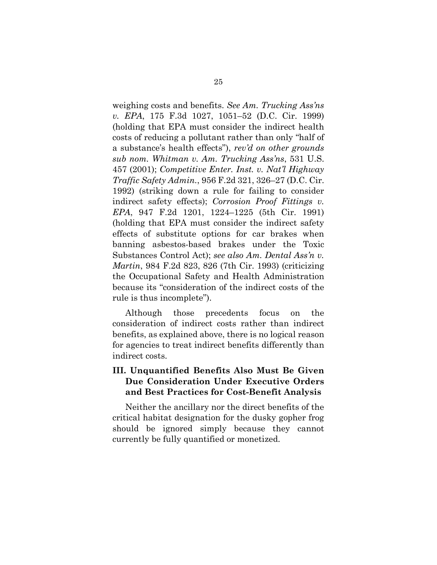weighing costs and benefits. *See Am. Trucking Ass'ns v. EPA*, 175 F.3d 1027, 1051–52 (D.C. Cir. 1999) (holding that EPA must consider the indirect health costs of reducing a pollutant rather than only "half of a substance's health effects"), *rev'd on other grounds sub nom. Whitman v. Am. Trucking Ass'ns*, 531 U.S. 457 (2001); *Competitive Enter. Inst. v. Nat'l Highway Traffic Safety Admin.*, 956 F.2d 321, 326–27 (D.C. Cir. 1992) (striking down a rule for failing to consider indirect safety effects); *Corrosion Proof Fittings v. EPA*, 947 F.2d 1201, 1224–1225 (5th Cir. 1991) (holding that EPA must consider the indirect safety effects of substitute options for car brakes when banning asbestos-based brakes under the Toxic Substances Control Act); *see also Am. Dental Ass'n v. Martin*, 984 F.2d 823, 826 (7th Cir. 1993) (criticizing the Occupational Safety and Health Administration because its "consideration of the indirect costs of the rule is thus incomplete").

Although those precedents focus on the consideration of indirect costs rather than indirect benefits, as explained above, there is no logical reason for agencies to treat indirect benefits differently than indirect costs.

## **III. Unquantified Benefits Also Must Be Given Due Consideration Under Executive Orders and Best Practices for Cost-Benefit Analysis**

Neither the ancillary nor the direct benefits of the critical habitat designation for the dusky gopher frog should be ignored simply because they cannot currently be fully quantified or monetized.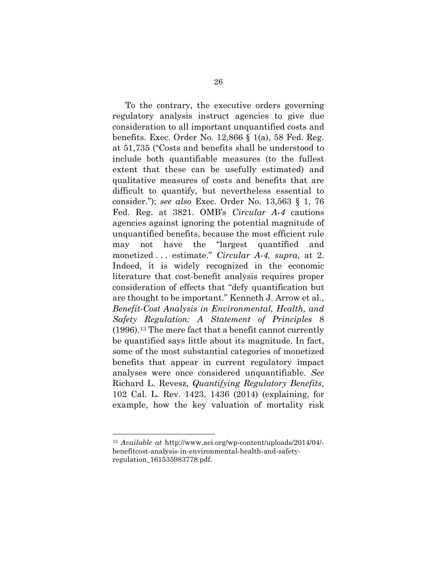To the contrary, the executive orders governing regulatory analysis instruct agencies to give due consideration to all important unquantified costs and benefits. Exec. Order No. 12,866 § 1(a), 58 Fed. Reg. at 51,735 ("Costs and benefits shall be understood to include both quantifiable measures (to the fullest extent that these can be usefully estimated) and qualitative measures of costs and benefits that are difficult to quantify, but nevertheless essential to consider."); *see also* Exec. Order No. 13,563 § 1, 76 Fed. Reg. at 3821. OMB's *Circular A-4* cautions agencies against ignoring the potential magnitude of unquantified benefits, because the most efficient rule may not have the "largest quantified and monetized . . . estimate." *Circular A-4, supra*, at 2. Indeed, it is widely recognized in the economic literature that cost-benefit analysis requires proper consideration of effects that "defy quantification but are thought to be important." Kenneth J. Arrow et al., *Benefit-Cost Analysis in Environmental, Health, and Safety Regulation: A Statement of Principles* 8 (1996).[13](#page-33-0) The mere fact that a benefit cannot currently be quantified says little about its magnitude. In fact, some of the most substantial categories of monetized benefits that appear in current regulatory impact analyses were once considered unquantifiable. *See* Richard L. Revesz, *Quantifying Regulatory Benefits*, 102 Cal. L. Rev. 1423, 1436 (2014) (explaining, for example, how the key valuation of mortality risk

<span id="page-33-0"></span><sup>13</sup> *Available at* http://www.aei.org/wp-content/uploads/2014/04/ benefitcost-analysis-in-environmental-health-and-safetyregulation\_161535983778.pdf.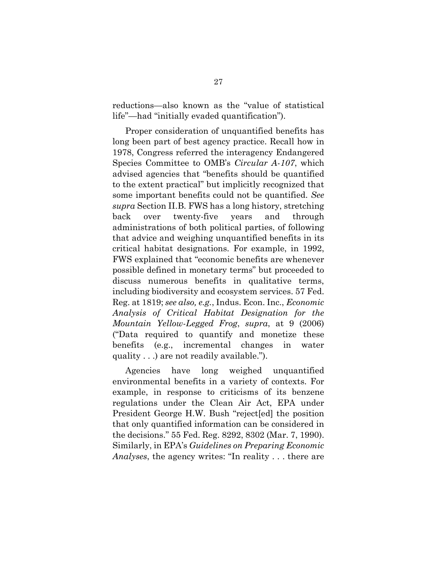reductions—also known as the "value of statistical life"—had "initially evaded quantification").

Proper consideration of unquantified benefits has long been part of best agency practice. Recall how in 1978, Congress referred the interagency Endangered Species Committee to OMB's *Circular A-107*, which advised agencies that "benefits should be quantified to the extent practical" but implicitly recognized that some important benefits could not be quantified. *See supra* Section II.B. FWS has a long history, stretching back over twenty-five years and through administrations of both political parties, of following that advice and weighing unquantified benefits in its critical habitat designations. For example, in 1992, FWS explained that "economic benefits are whenever possible defined in monetary terms" but proceeded to discuss numerous benefits in qualitative terms, including biodiversity and ecosystem services. 57 Fed. Reg. at 1819; *see also, e.g.*, Indus. Econ. Inc., *Economic Analysis of Critical Habitat Designation for the Mountain Yellow-Legged Frog*, *supra*, at 9 (2006) ("Data required to quantify and monetize these benefits (e.g., incremental changes in water quality . . .) are not readily available.").

Agencies have long weighed unquantified environmental benefits in a variety of contexts. For example, in response to criticisms of its benzene regulations under the Clean Air Act, EPA under President George H.W. Bush "reject[ed] the position that only quantified information can be considered in the decisions." 55 Fed. Reg. 8292, 8302 (Mar. 7, 1990). Similarly, in EPA's *Guidelines on Preparing Economic Analyses*, the agency writes: "In reality . . . there are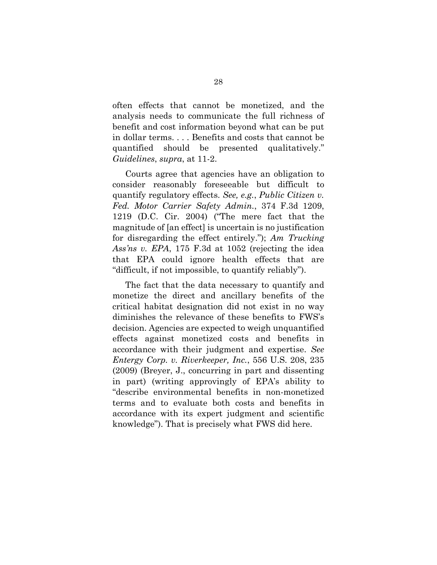often effects that cannot be monetized, and the analysis needs to communicate the full richness of benefit and cost information beyond what can be put in dollar terms. . . . Benefits and costs that cannot be quantified should be presented qualitatively." *Guidelines*, *supra*, at 11-2.

Courts agree that agencies have an obligation to consider reasonably foreseeable but difficult to quantify regulatory effects. *See, e.g.*, *Public Citizen v. Fed. Motor Carrier Safety Admin.*, 374 F.3d 1209, 1219 (D.C. Cir. 2004) ("The mere fact that the magnitude of [an effect] is uncertain is no justification for disregarding the effect entirely."); *Am Trucking Ass'ns v. EPA*, 175 F.3d at 1052 (rejecting the idea that EPA could ignore health effects that are "difficult, if not impossible, to quantify reliably").

The fact that the data necessary to quantify and monetize the direct and ancillary benefits of the critical habitat designation did not exist in no way diminishes the relevance of these benefits to FWS's decision. Agencies are expected to weigh unquantified effects against monetized costs and benefits in accordance with their judgment and expertise. *See Entergy Corp. v. Riverkeeper, Inc.*, 556 U.S. 208, 235 (2009) (Breyer, J., concurring in part and dissenting in part) (writing approvingly of EPA's ability to "describe environmental benefits in non-monetized terms and to evaluate both costs and benefits in accordance with its expert judgment and scientific knowledge"). That is precisely what FWS did here.